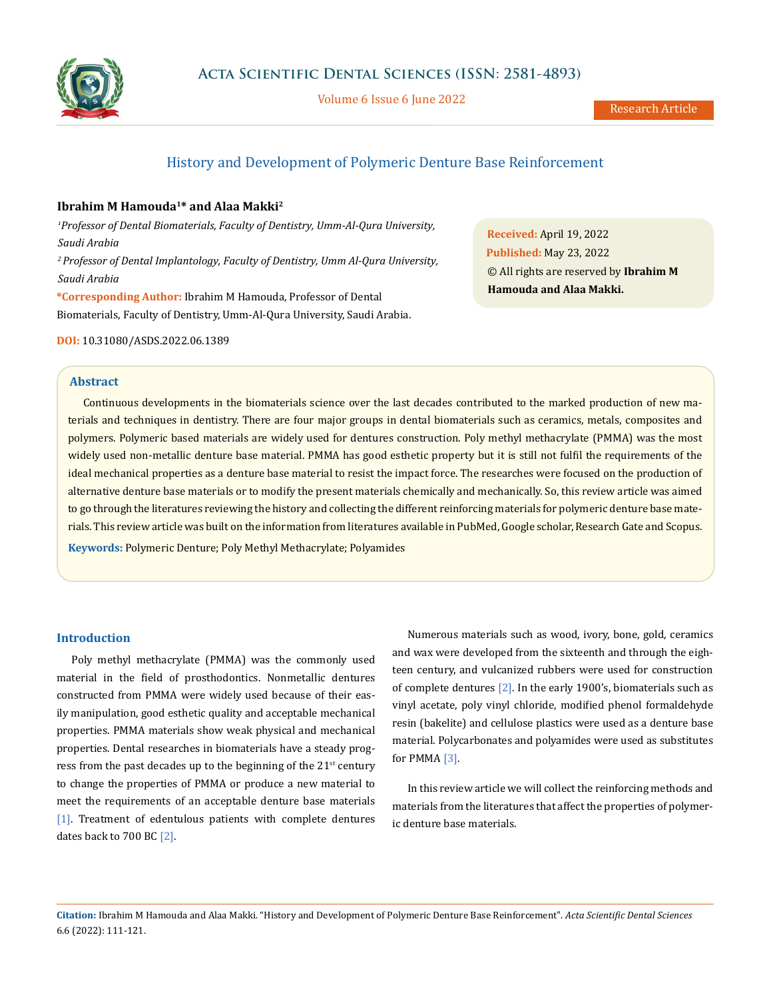

Volume 6 Issue 6 June 2022

## History and Development of Polymeric Denture Base Reinforcement

## **Ibrahim M Hamouda<sup>1</sup>\* and Alaa Makki<sup>2</sup>**

*<sup>1</sup>Professor of Dental Biomaterials, Faculty of Dentistry, Umm-Al-Qura University, Saudi Arabia <sup>2</sup>Professor of Dental Implantology, Faculty of Dentistry, Umm Al-Qura University, Saudi Arabia* **\*Corresponding Author:** Ibrahim M Hamouda, Professor of Dental Biomaterials, Faculty of Dentistry, Umm-Al-Qura University, Saudi Arabia.

**DOI:** [10.31080/ASDS.2022.06.1389](https://actascientific.com/ASDS/pdf/ASDS-06-1389.pdf)

**Abstract**

Continuous developments in the biomaterials science over the last decades contributed to the marked production of new materials and techniques in dentistry. There are four major groups in dental biomaterials such as ceramics, metals, composites and polymers. Polymeric based materials are widely used for dentures construction. Poly methyl methacrylate (PMMA) was the most widely used non-metallic denture base material. PMMA has good esthetic property but it is still not fulfil the requirements of the ideal mechanical properties as a denture base material to resist the impact force. The researches were focused on the production of alternative denture base materials or to modify the present materials chemically and mechanically. So, this review article was aimed to go through the literatures reviewing the history and collecting the different reinforcing materials for polymeric denture base materials. This review article was built on the information from literatures available in PubMed, Google scholar, Research Gate and Scopus.

**Keywords:** Polymeric Denture; Poly Methyl Methacrylate; Polyamides

## **Introduction**

Poly methyl methacrylate (PMMA) was the commonly used material in the field of prosthodontics. Nonmetallic dentures constructed from PMMA were widely used because of their easily manipulation, good esthetic quality and acceptable mechanical properties. PMMA materials show weak physical and mechanical properties. Dental researches in biomaterials have a steady progress from the past decades up to the beginning of the  $21<sup>st</sup>$  century to change the properties of PMMA or produce a new material to meet the requirements of an acceptable denture base materials [1]. Treatment of edentulous patients with complete dentures dates back to 700 BC [2].

Numerous materials such as wood, ivory, bone, gold, ceramics and wax were developed from the sixteenth and through the eighteen century, and vulcanized rubbers were used for construction of complete dentures [2]. In the early 1900's, biomaterials such as vinyl acetate, poly vinyl chloride, modified phenol formaldehyde resin (bakelite) and cellulose plastics were used as a denture base material. Polycarbonates and polyamides were used as substitutes for PMMA [3].

In this review article we will collect the reinforcing methods and materials from the literatures that affect the properties of polymeric denture base materials.

**Citation:** Ibrahim M Hamouda and Alaa Makki*.* "History and Development of Polymeric Denture Base Reinforcement". *Acta Scientific Dental Sciences*  6.6 (2022): 111-121.

**Received:** April 19, 2022 **Published:** May 23, 2022 © All rights are reserved by **Ibrahim M Hamouda and Alaa Makki.**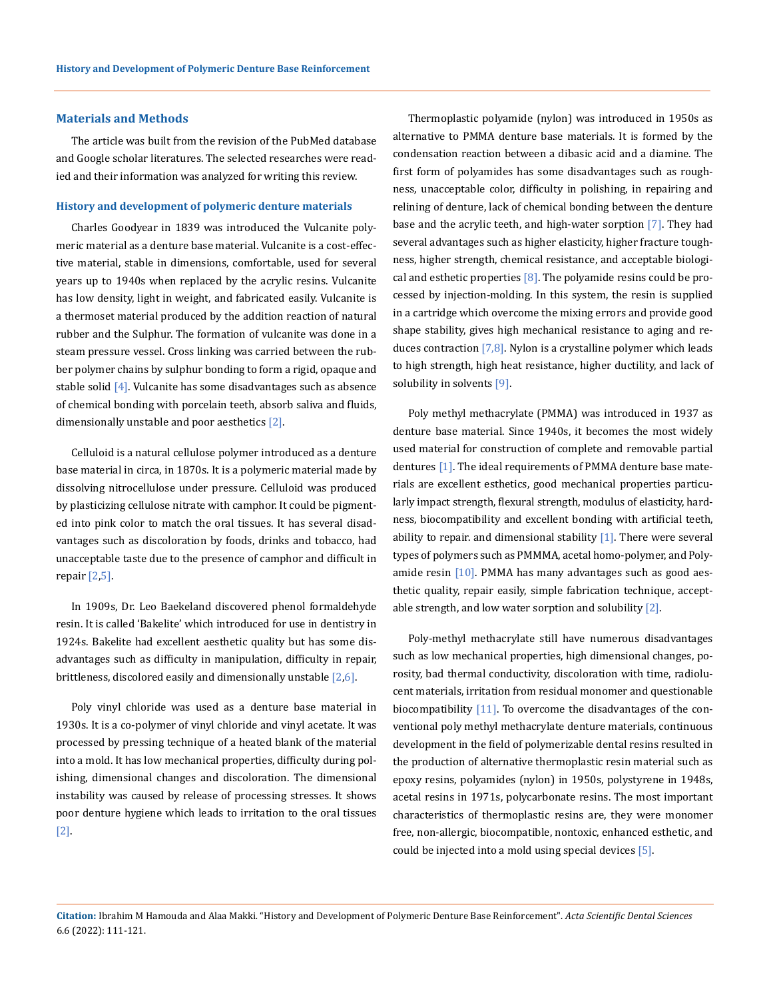## **Materials and Methods**

The article was built from the revision of the PubMed database and Google scholar literatures. The selected researches were readied and their information was analyzed for writing this review.

#### **History and development of polymeric denture materials**

Charles Goodyear in 1839 was introduced the Vulcanite polymeric material as a denture base material. Vulcanite is a cost-effective material, stable in dimensions, comfortable, used for several years up to 1940s when replaced by the acrylic resins. Vulcanite has low density, light in weight, and fabricated easily. Vulcanite is a thermoset material produced by the addition reaction of natural rubber and the Sulphur. The formation of vulcanite was done in a steam pressure vessel. Cross linking was carried between the rubber polymer chains by sulphur bonding to form a rigid, opaque and stable solid [4]. Vulcanite has some disadvantages such as absence of chemical bonding with porcelain teeth, absorb saliva and fluids, dimensionally unstable and poor aesthetics [2].

Celluloid is a natural cellulose polymer introduced as a denture base material in circa, in 1870s. It is a polymeric material made by dissolving nitrocellulose under pressure. Celluloid was produced by plasticizing cellulose nitrate with camphor. It could be pigmented into pink color to match the oral tissues. It has several disadvantages such as discoloration by foods, drinks and tobacco, had unacceptable taste due to the presence of camphor and difficult in repair [2,5].

In 1909s, Dr. Leo Baekeland discovered phenol formaldehyde resin. It is called 'Bakelite' which introduced for use in dentistry in 1924s. Bakelite had excellent aesthetic quality but has some disadvantages such as difficulty in manipulation, difficulty in repair, brittleness, discolored easily and dimensionally unstable  $[2,6]$ .

Poly vinyl chloride was used as a denture base material in 1930s. It is a co-polymer of vinyl chloride and vinyl acetate. It was processed by pressing technique of a heated blank of the material into a mold. It has low mechanical properties, difficulty during polishing, dimensional changes and discoloration. The dimensional instability was caused by release of processing stresses. It shows poor denture hygiene which leads to irritation to the oral tissues [2].

Thermoplastic polyamide (nylon) was introduced in 1950s as alternative to PMMA denture base materials. It is formed by the condensation reaction between a dibasic acid and a diamine. The first form of polyamides has some disadvantages such as roughness, unacceptable color, difficulty in polishing, in repairing and relining of denture, lack of chemical bonding between the denture base and the acrylic teeth, and high-water sorption [7]. They had several advantages such as higher elasticity, higher fracture toughness, higher strength, chemical resistance, and acceptable biological and esthetic properties  $[8]$ . The polyamide resins could be processed by injection-molding. In this system, the resin is supplied in a cartridge which overcome the mixing errors and provide good shape stability, gives high mechanical resistance to aging and reduces contraction [7,8]. Nylon is a crystalline polymer which leads to high strength, high heat resistance, higher ductility, and lack of solubility in solvents [9].

Poly methyl methacrylate (PMMA) was introduced in 1937 as denture base material. Since 1940s, it becomes the most widely used material for construction of complete and removable partial dentures [1]. The ideal requirements of PMMA denture base materials are excellent esthetics, good mechanical properties particularly impact strength, flexural strength, modulus of elasticity, hardness, biocompatibility and excellent bonding with artificial teeth, ability to repair. and dimensional stability  $[1]$ . There were several types of polymers such as PMMMA, acetal homo-polymer, and Polyamide resin [10]. PMMA has many advantages such as good aesthetic quality, repair easily, simple fabrication technique, acceptable strength, and low water sorption and solubility [2].

Poly-methyl methacrylate still have numerous disadvantages such as low mechanical properties, high dimensional changes, porosity, bad thermal conductivity, discoloration with time, radiolucent materials, irritation from residual monomer and questionable biocompatibility  $[11]$ . To overcome the disadvantages of the conventional poly methyl methacrylate denture materials, continuous development in the field of polymerizable dental resins resulted in the production of alternative thermoplastic resin material such as epoxy resins, polyamides (nylon) in 1950s, polystyrene in 1948s, acetal resins in 1971s, polycarbonate resins. The most important characteristics of thermoplastic resins are, they were monomer free, non-allergic, biocompatible, nontoxic, enhanced esthetic, and could be injected into a mold using special devices [5].

**Citation:** Ibrahim M Hamouda and Alaa Makki*.* "History and Development of Polymeric Denture Base Reinforcement". *Acta Scientific Dental Sciences*  6.6 (2022): 111-121.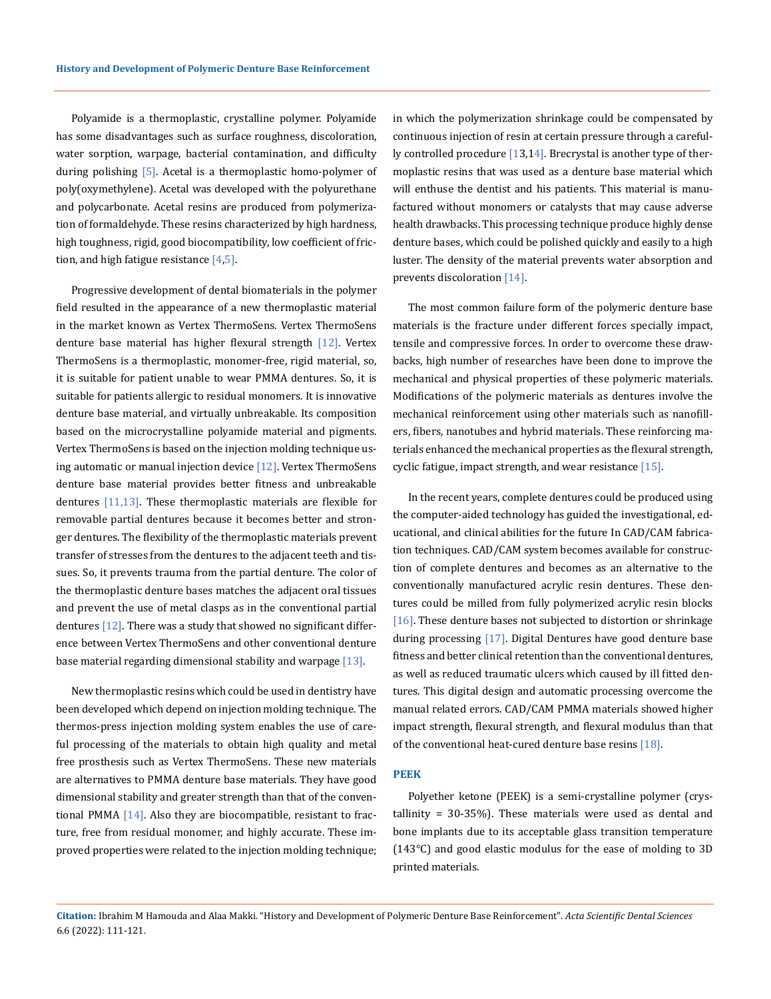Polyamide is a thermoplastic, crystalline polymer. Polyamide has some disadvantages such as surface roughness, discoloration, water sorption, warpage, bacterial contamination, and difficulty during polishing [5]. Acetal is a thermoplastic homo-polymer of poly(oxymethylene). Acetal was developed with the polyurethane and polycarbonate. Acetal resins are produced from polymerization of formaldehyde. These resins characterized by high hardness, high toughness, rigid, good biocompatibility, low coefficient of friction, and high fatigue resistance  $[4,5]$ .

Progressive development of dental biomaterials in the polymer field resulted in the appearance of a new thermoplastic material in the market known as Vertex ThermoSens. Vertex ThermoSens denture base material has higher flexural strength [12]. Vertex ThermoSens is a thermoplastic, monomer-free, rigid material, so, it is suitable for patient unable to wear PMMA dentures. So, it is suitable for patients allergic to residual monomers. It is innovative denture base material, and virtually unbreakable. Its composition based on the microcrystalline polyamide material and pigments. Vertex ThermoSens is based on the injection molding technique using automatic or manual injection device  $[12]$ . Vertex ThermoSens denture base material provides better fitness and unbreakable dentures  $[11,13]$ . These thermoplastic materials are flexible for removable partial dentures because it becomes better and stronger dentures. The flexibility of the thermoplastic materials prevent transfer of stresses from the dentures to the adjacent teeth and tissues. So, it prevents trauma from the partial denture. The color of the thermoplastic denture bases matches the adjacent oral tissues and prevent the use of metal clasps as in the conventional partial dentures  $[12]$ . There was a study that showed no significant difference between Vertex ThermoSens and other conventional denture base material regarding dimensional stability and warpage [13].

New thermoplastic resins which could be used in dentistry have been developed which depend on injection molding technique. The thermos-press injection molding system enables the use of careful processing of the materials to obtain high quality and metal free prosthesis such as Vertex ThermoSens. These new materials are alternatives to PMMA denture base materials. They have good dimensional stability and greater strength than that of the conventional PMMA  $[14]$ . Also they are biocompatible, resistant to fracture, free from residual monomer, and highly accurate. These improved properties were related to the injection molding technique; in which the polymerization shrinkage could be compensated by continuous injection of resin at certain pressure through a carefully controlled procedure [13,14]. Brecrystal is another type of thermoplastic resins that was used as a denture base material which will enthuse the dentist and his patients. This material is manufactured without monomers or catalysts that may cause adverse health drawbacks. This processing technique produce highly dense denture bases, which could be polished quickly and easily to a high luster. The density of the material prevents water absorption and prevents discoloration [14].

The most common failure form of the polymeric denture base materials is the fracture under different forces specially impact, tensile and compressive forces. In order to overcome these drawbacks, high number of researches have been done to improve the mechanical and physical properties of these polymeric materials. Modifications of the polymeric materials as dentures involve the mechanical reinforcement using other materials such as nanofillers, fibers, nanotubes and hybrid materials. These reinforcing materials enhanced the mechanical properties as the flexural strength, cyclic fatigue, impact strength, and wear resistance [15].

In the recent years, complete dentures could be produced using the computer-aided technology has guided the investigational, educational, and clinical abilities for the future In CAD/CAM fabrication techniques. CAD/CAM system becomes available for construction of complete dentures and becomes as an alternative to the conventionally manufactured acrylic resin dentures. These dentures could be milled from fully polymerized acrylic resin blocks [16]. These denture bases not subjected to distortion or shrinkage during processing [17]. Digital Dentures have good denture base fitness and better clinical retention than the conventional dentures, as well as reduced traumatic ulcers which caused by ill fitted dentures. This digital design and automatic processing overcome the manual related errors. CAD/CAM PMMA materials showed higher impact strength, flexural strength, and flexural modulus than that of the conventional heat-cured denture base resins [18].

#### **PEEK**

Polyether ketone (PEEK) is a semi-crystalline polymer (crystallinity = 30-35%). These materials were used as dental and bone implants due to its acceptable glass transition temperature (143°C) and good elastic modulus for the ease of molding to 3D printed materials.

**Citation:** Ibrahim M Hamouda and Alaa Makki*.* "History and Development of Polymeric Denture Base Reinforcement". *Acta Scientific Dental Sciences*  6.6 (2022): 111-121.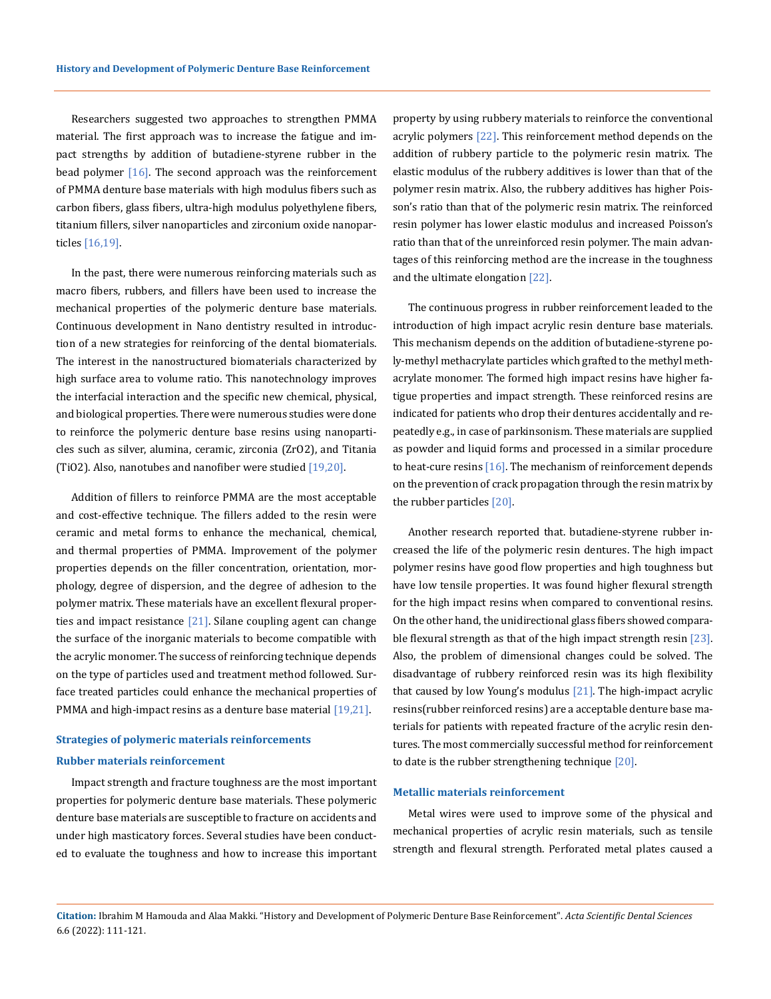Researchers suggested two approaches to strengthen PMMA material. The first approach was to increase the fatigue and impact strengths by addition of butadiene-styrene rubber in the bead polymer [16]. The second approach was the reinforcement of PMMA denture base materials with high modulus fibers such as carbon fibers, glass fibers, ultra-high modulus polyethylene fibers, titanium fillers, silver nanoparticles and zirconium oxide nanoparticles [16,19].

In the past, there were numerous reinforcing materials such as macro fibers, rubbers, and fillers have been used to increase the mechanical properties of the polymeric denture base materials. Continuous development in Nano dentistry resulted in introduction of a new strategies for reinforcing of the dental biomaterials. The interest in the nanostructured biomaterials characterized by high surface area to volume ratio. This nanotechnology improves the interfacial interaction and the specific new chemical, physical, and biological properties. There were numerous studies were done to reinforce the polymeric denture base resins using nanoparticles such as silver, alumina, ceramic, zirconia (ZrO2), and Titania (TiO2). Also, nanotubes and nanofiber were studied [19,20].

Addition of fillers to reinforce PMMA are the most acceptable and cost-effective technique. The fillers added to the resin were ceramic and metal forms to enhance the mechanical, chemical, and thermal properties of PMMA. Improvement of the polymer properties depends on the filler concentration, orientation, morphology, degree of dispersion, and the degree of adhesion to the polymer matrix. These materials have an excellent flexural properties and impact resistance  $[21]$ . Silane coupling agent can change the surface of the inorganic materials to become compatible with the acrylic monomer. The success of reinforcing technique depends on the type of particles used and treatment method followed. Surface treated particles could enhance the mechanical properties of PMMA and high-impact resins as a denture base material [19,21].

# **Strategies of polymeric materials reinforcements**

## **Rubber materials reinforcement**

Impact strength and fracture toughness are the most important properties for polymeric denture base materials. These polymeric denture base materials are susceptible to fracture on accidents and under high masticatory forces. Several studies have been conducted to evaluate the toughness and how to increase this important

property by using rubbery materials to reinforce the conventional acrylic polymers [22]. This reinforcement method depends on the addition of rubbery particle to the polymeric resin matrix. The elastic modulus of the rubbery additives is lower than that of the polymer resin matrix. Also, the rubbery additives has higher Poisson's ratio than that of the polymeric resin matrix. The reinforced resin polymer has lower elastic modulus and increased Poisson's ratio than that of the unreinforced resin polymer. The main advantages of this reinforcing method are the increase in the toughness and the ultimate elongation [22].

The continuous progress in rubber reinforcement leaded to the introduction of high impact acrylic resin denture base materials. This mechanism depends on the addition of butadiene-styrene poly-methyl methacrylate particles which grafted to the methyl methacrylate monomer. The formed high impact resins have higher fatigue properties and impact strength. These reinforced resins are indicated for patients who drop their dentures accidentally and repeatedly e.g., in case of parkinsonism. These materials are supplied as powder and liquid forms and processed in a similar procedure to heat-cure resins  $[16]$ . The mechanism of reinforcement depends on the prevention of crack propagation through the resin matrix by the rubber particles [20].

Another research reported that. butadiene-styrene rubber increased the life of the polymeric resin dentures. The high impact polymer resins have good flow properties and high toughness but have low tensile properties. It was found higher flexural strength for the high impact resins when compared to conventional resins. On the other hand, the unidirectional glass fibers showed comparable flexural strength as that of the high impact strength resin [23]. Also, the problem of dimensional changes could be solved. The disadvantage of rubbery reinforced resin was its high flexibility that caused by low Young's modulus [21]. The high-impact acrylic resins(rubber reinforced resins) are a acceptable denture base materials for patients with repeated fracture of the acrylic resin dentures. The most commercially successful method for reinforcement to date is the rubber strengthening technique [20].

#### **Metallic materials reinforcement**

Metal wires were used to improve some of the physical and mechanical properties of acrylic resin materials, such as tensile strength and flexural strength. Perforated metal plates caused a

**Citation:** Ibrahim M Hamouda and Alaa Makki*.* "History and Development of Polymeric Denture Base Reinforcement". *Acta Scientific Dental Sciences*  6.6 (2022): 111-121.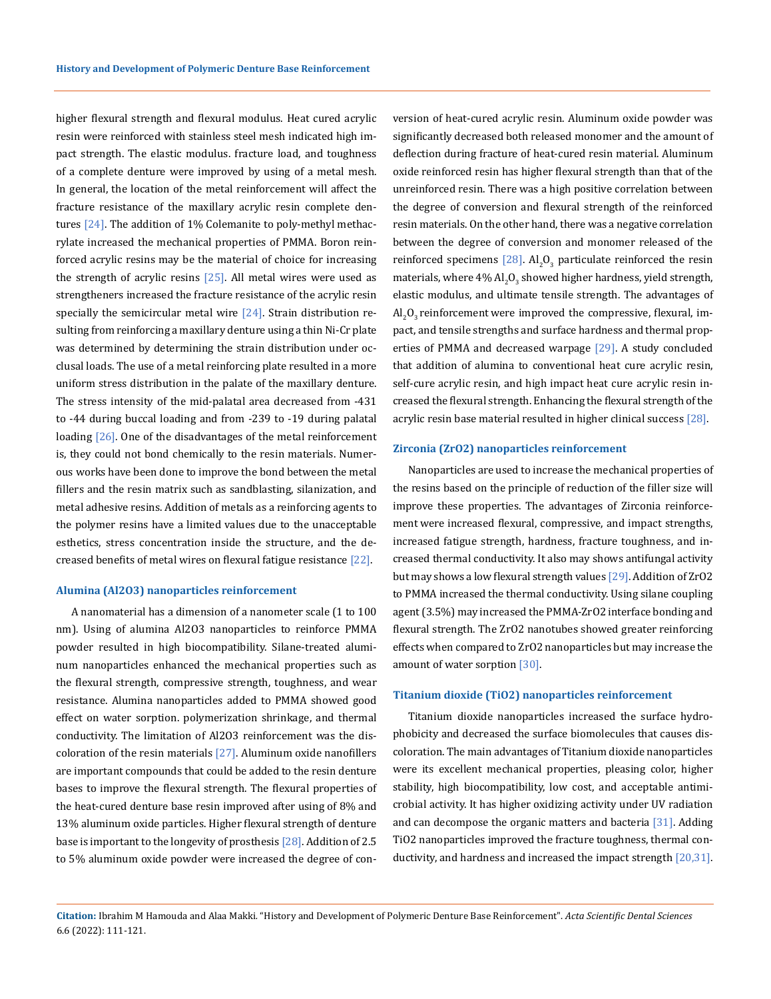higher flexural strength and flexural modulus. Heat cured acrylic resin were reinforced with stainless steel mesh indicated high impact strength. The elastic modulus. fracture load, and toughness of a complete denture were improved by using of a metal mesh. In general, the location of the metal reinforcement will affect the fracture resistance of the maxillary acrylic resin complete dentures  $[24]$ . The addition of 1% Colemanite to poly-methyl methacrylate increased the mechanical properties of PMMA. Boron reinforced acrylic resins may be the material of choice for increasing the strength of acrylic resins [25]. All metal wires were used as strengtheners increased the fracture resistance of the acrylic resin specially the semicircular metal wire  $[24]$ . Strain distribution resulting from reinforcing a maxillary denture using a thin Ni-Cr plate was determined by determining the strain distribution under occlusal loads. The use of a metal reinforcing plate resulted in a more uniform stress distribution in the palate of the maxillary denture. The stress intensity of the mid-palatal area decreased from -431 to -44 during buccal loading and from -239 to -19 during palatal loading [26]. One of the disadvantages of the metal reinforcement is, they could not bond chemically to the resin materials. Numerous works have been done to improve the bond between the metal fillers and the resin matrix such as sandblasting, silanization, and metal adhesive resins. Addition of metals as a reinforcing agents to the polymer resins have a limited values due to the unacceptable esthetics, stress concentration inside the structure, and the decreased benefits of metal wires on flexural fatigue resistance [22].

## **Alumina (Al2O3) nanoparticles reinforcement**

A nanomaterial has a dimension of a nanometer scale (1 to 100 nm). Using of alumina Al2O3 nanoparticles to reinforce PMMA powder resulted in high biocompatibility. Silane-treated aluminum nanoparticles enhanced the mechanical properties such as the flexural strength, compressive strength, toughness, and wear resistance. Alumina nanoparticles added to PMMA showed good effect on water sorption. polymerization shrinkage, and thermal conductivity. The limitation of Al2O3 reinforcement was the discoloration of the resin materials  $[27]$ . Aluminum oxide nanofillers are important compounds that could be added to the resin denture bases to improve the flexural strength. The flexural properties of the heat-cured denture base resin improved after using of 8% and 13% aluminum oxide particles. Higher flexural strength of denture base is important to the longevity of prosthesis [28]. Addition of 2.5 to 5% aluminum oxide powder were increased the degree of conversion of heat-cured acrylic resin. Aluminum oxide powder was significantly decreased both released monomer and the amount of deflection during fracture of heat-cured resin material. Aluminum oxide reinforced resin has higher flexural strength than that of the unreinforced resin. There was a high positive correlation between the degree of conversion and flexural strength of the reinforced resin materials. On the other hand, there was a negative correlation between the degree of conversion and monomer released of the reinforced specimens  $[28]$ . Al<sub>2</sub>O<sub>3</sub> particulate reinforced the resin materials, where 4%  ${\rm Al}_2{\rm O}_3$  showed higher hardness, yield strength, elastic modulus, and ultimate tensile strength. The advantages of  ${\rm Al}_2{\rm O}_3$  reinforcement were improved the compressive, flexural, impact, and tensile strengths and surface hardness and thermal properties of PMMA and decreased warpage [29]. A study concluded that addition of alumina to conventional heat cure acrylic resin, self-cure acrylic resin, and high impact heat cure acrylic resin increased the flexural strength. Enhancing the flexural strength of the acrylic resin base material resulted in higher clinical success [28].

#### **Zirconia (ZrO2) nanoparticles reinforcement**

Nanoparticles are used to increase the mechanical properties of the resins based on the principle of reduction of the filler size will improve these properties. The advantages of Zirconia reinforcement were increased flexural, compressive, and impact strengths, increased fatigue strength, hardness, fracture toughness, and increased thermal conductivity. It also may shows antifungal activity but may shows a low flexural strength values [29]. Addition of ZrO2 to PMMA increased the thermal conductivity. Using silane coupling agent (3.5%) may increased the PMMA-ZrO2 interface bonding and flexural strength. The ZrO2 nanotubes showed greater reinforcing effects when compared to ZrO2 nanoparticles but may increase the amount of water sorption [30].

#### **Titanium dioxide (TiO2) nanoparticles reinforcement**

Titanium dioxide nanoparticles increased the surface hydrophobicity and decreased the surface biomolecules that causes discoloration. The main advantages of Titanium dioxide nanoparticles were its excellent mechanical properties, pleasing color, higher stability, high biocompatibility, low cost, and acceptable antimicrobial activity. It has higher oxidizing activity under UV radiation and can decompose the organic matters and bacteria [31]. Adding TiO2 nanoparticles improved the fracture toughness, thermal conductivity, and hardness and increased the impact strength [20,31].

## **Citation:** Ibrahim M Hamouda and Alaa Makki*.* "History and Development of Polymeric Denture Base Reinforcement". *Acta Scientific Dental Sciences*  6.6 (2022): 111-121.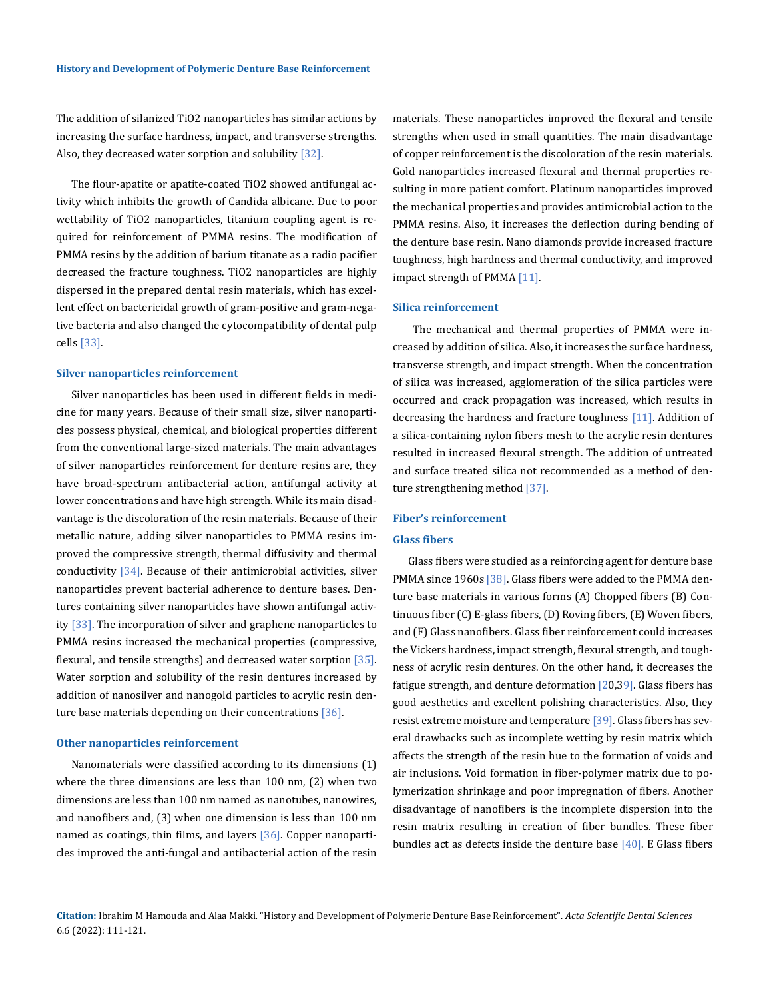The addition of silanized TiO2 nanoparticles has similar actions by increasing the surface hardness, impact, and transverse strengths. Also, they decreased water sorption and solubility [32].

The flour-apatite or apatite-coated TiO2 showed antifungal activity which inhibits the growth of Candida albicane. Due to poor wettability of TiO2 nanoparticles, titanium coupling agent is required for reinforcement of PMMA resins. The modification of PMMA resins by the addition of barium titanate as a radio pacifier decreased the fracture toughness. TiO2 nanoparticles are highly dispersed in the prepared dental resin materials, which has excellent effect on bactericidal growth of gram-positive and gram-negative bacteria and also changed the cytocompatibility of dental pulp cells [33].

#### **Silver nanoparticles reinforcement**

Silver nanoparticles has been used in different fields in medicine for many years. Because of their small size, silver nanoparticles possess physical, chemical, and biological properties different from the conventional large-sized materials. The main advantages of silver nanoparticles reinforcement for denture resins are, they have broad-spectrum antibacterial action, antifungal activity at lower concentrations and have high strength. While its main disadvantage is the discoloration of the resin materials. Because of their metallic nature, adding silver nanoparticles to PMMA resins improved the compressive strength, thermal diffusivity and thermal conductivity  $[34]$ . Because of their antimicrobial activities, silver nanoparticles prevent bacterial adherence to denture bases. Dentures containing silver nanoparticles have shown antifungal activity [33]. The incorporation of silver and graphene nanoparticles to PMMA resins increased the mechanical properties (compressive, flexural, and tensile strengths) and decreased water sorption [35]. Water sorption and solubility of the resin dentures increased by addition of nanosilver and nanogold particles to acrylic resin denture base materials depending on their concentrations [36].

#### **Other nanoparticles reinforcement**

Nanomaterials were classified according to its dimensions (1) where the three dimensions are less than 100 nm, (2) when two dimensions are less than 100 nm named as nanotubes, nanowires, and nanofibers and, (3) when one dimension is less than 100 nm named as coatings, thin films, and layers [36]. Copper nanoparticles improved the anti-fungal and antibacterial action of the resin materials. These nanoparticles improved the flexural and tensile strengths when used in small quantities. The main disadvantage of copper reinforcement is the discoloration of the resin materials. Gold nanoparticles increased flexural and thermal properties resulting in more patient comfort. Platinum nanoparticles improved the mechanical properties and provides antimicrobial action to the PMMA resins. Also, it increases the deflection during bending of the denture base resin. Nano diamonds provide increased fracture toughness, high hardness and thermal conductivity, and improved impact strength of PMMA [11].

#### **Silica reinforcement**

 The mechanical and thermal properties of PMMA were increased by addition of silica. Also, it increases the surface hardness, transverse strength, and impact strength. When the concentration of silica was increased, agglomeration of the silica particles were occurred and crack propagation was increased, which results in decreasing the hardness and fracture toughness [11]. Addition of a silica-containing nylon fibers mesh to the acrylic resin dentures resulted in increased flexural strength. The addition of untreated and surface treated silica not recommended as a method of denture strengthening method [37].

#### **Fiber's reinforcement**

## **Glass fibers**

Glass fibers were studied as a reinforcing agent for denture base PMMA since 1960s [38]. Glass fibers were added to the PMMA denture base materials in various forms (A) Chopped fibers (B) Continuous fiber (C) E-glass fibers, (D) Roving fibers, (E) Woven fibers, and (F) Glass nanofibers. Glass fiber reinforcement could increases the Vickers hardness, impact strength, flexural strength, and toughness of acrylic resin dentures. On the other hand, it decreases the fatigue strength, and denture deformation [20,39]. Glass fibers has good aesthetics and excellent polishing characteristics. Also, they resist extreme moisture and temperature [39]. Glass fibers has several drawbacks such as incomplete wetting by resin matrix which affects the strength of the resin hue to the formation of voids and air inclusions. Void formation in fiber-polymer matrix due to polymerization shrinkage and poor impregnation of fibers. Another disadvantage of nanofibers is the incomplete dispersion into the resin matrix resulting in creation of fiber bundles. These fiber bundles act as defects inside the denture base [40]. E Glass fibers

**Citation:** Ibrahim M Hamouda and Alaa Makki*.* "History and Development of Polymeric Denture Base Reinforcement". *Acta Scientific Dental Sciences*  6.6 (2022): 111-121.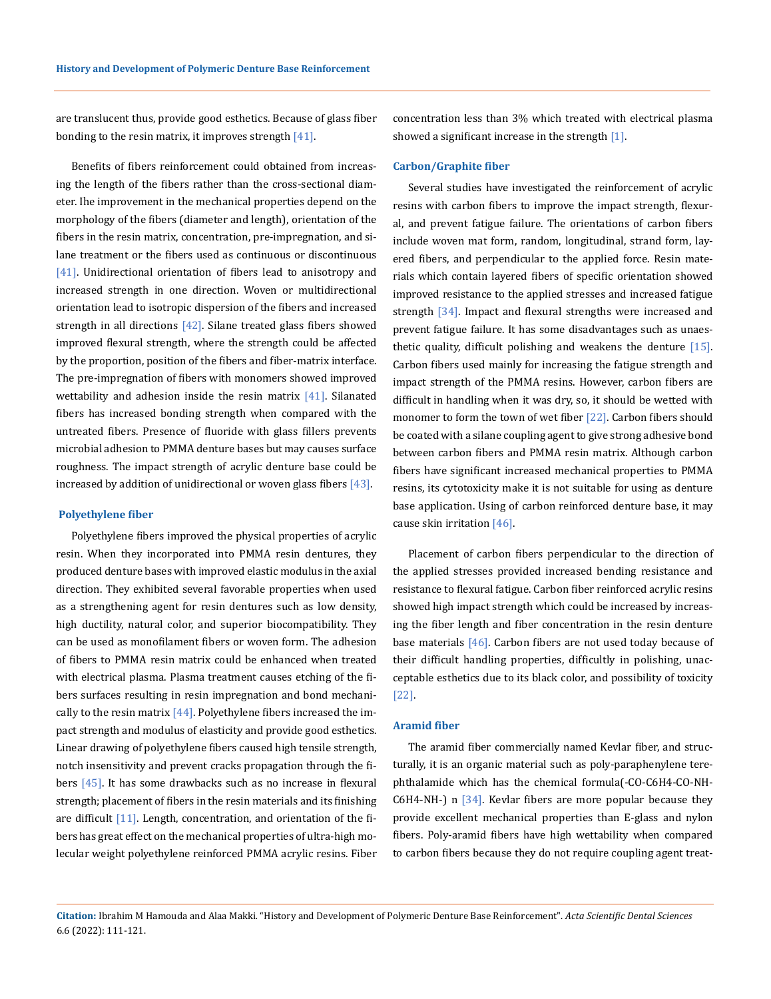are translucent thus, provide good esthetics. Because of glass fiber bonding to the resin matrix, it improves strength [41].

Benefits of fibers reinforcement could obtained from increasing the length of the fibers rather than the cross-sectional diameter. Ihe improvement in the mechanical properties depend on the morphology of the fibers (diameter and length), orientation of the fibers in the resin matrix, concentration, pre-impregnation, and silane treatment or the fibers used as continuous or discontinuous [41]. Unidirectional orientation of fibers lead to anisotropy and increased strength in one direction. Woven or multidirectional orientation lead to isotropic dispersion of the fibers and increased strength in all directions  $[42]$ . Silane treated glass fibers showed improved flexural strength, where the strength could be affected by the proportion, position of the fibers and fiber-matrix interface. The pre-impregnation of fibers with monomers showed improved wettability and adhesion inside the resin matrix  $[41]$ . Silanated fibers has increased bonding strength when compared with the untreated fibers. Presence of fluoride with glass fillers prevents microbial adhesion to PMMA denture bases but may causes surface roughness. The impact strength of acrylic denture base could be increased by addition of unidirectional or woven glass fibers  $[43]$ .

#### **Polyethylene fiber**

Polyethylene fibers improved the physical properties of acrylic resin. When they incorporated into PMMA resin dentures, they produced denture bases with improved elastic modulus in the axial direction. They exhibited several favorable properties when used as a strengthening agent for resin dentures such as low density, high ductility, natural color, and superior biocompatibility. They can be used as monofilament fibers or woven form. The adhesion of fibers to PMMA resin matrix could be enhanced when treated with electrical plasma. Plasma treatment causes etching of the fibers surfaces resulting in resin impregnation and bond mechanically to the resin matrix  $[44]$ . Polyethylene fibers increased the impact strength and modulus of elasticity and provide good esthetics. Linear drawing of polyethylene fibers caused high tensile strength, notch insensitivity and prevent cracks propagation through the fibers [45]. It has some drawbacks such as no increase in flexural strength; placement of fibers in the resin materials and its finishing are difficult [11]. Length, concentration, and orientation of the fibers has great effect on the mechanical properties of ultra-high molecular weight polyethylene reinforced PMMA acrylic resins. Fiber concentration less than 3% which treated with electrical plasma showed a significant increase in the strength [1].

#### **Carbon/Graphite fiber**

Several studies have investigated the reinforcement of acrylic resins with carbon fibers to improve the impact strength, flexural, and prevent fatigue failure. The orientations of carbon fibers include woven mat form, random, longitudinal, strand form, layered fibers, and perpendicular to the applied force. Resin materials which contain layered fibers of specific orientation showed improved resistance to the applied stresses and increased fatigue strength [34]. Impact and flexural strengths were increased and prevent fatigue failure. It has some disadvantages such as unaesthetic quality, difficult polishing and weakens the denture [15]. Carbon fibers used mainly for increasing the fatigue strength and impact strength of the PMMA resins. However, carbon fibers are difficult in handling when it was dry, so, it should be wetted with monomer to form the town of wet fiber [22]. Carbon fibers should be coated with a silane coupling agent to give strong adhesive bond between carbon fibers and PMMA resin matrix. Although carbon fibers have significant increased mechanical properties to PMMA resins, its cytotoxicity make it is not suitable for using as denture base application. Using of carbon reinforced denture base, it may cause skin irritation [46].

Placement of carbon fibers perpendicular to the direction of the applied stresses provided increased bending resistance and resistance to flexural fatigue. Carbon fiber reinforced acrylic resins showed high impact strength which could be increased by increasing the fiber length and fiber concentration in the resin denture base materials [46]. Carbon fibers are not used today because of their difficult handling properties, difficultly in polishing, unacceptable esthetics due to its black color, and possibility of toxicity [22].

#### **Aramid fiber**

The aramid fiber commercially named Kevlar fiber, and structurally, it is an organic material such as poly-paraphenylene terephthalamide which has the chemical formula(-CO-C6H4-CO-NH-C6H4-NH-) n  $[34]$ . Kevlar fibers are more popular because they provide excellent mechanical properties than E-glass and nylon fibers. Poly-aramid fibers have high wettability when compared to carbon fibers because they do not require coupling agent treat-

**Citation:** Ibrahim M Hamouda and Alaa Makki*.* "History and Development of Polymeric Denture Base Reinforcement". *Acta Scientific Dental Sciences*  6.6 (2022): 111-121.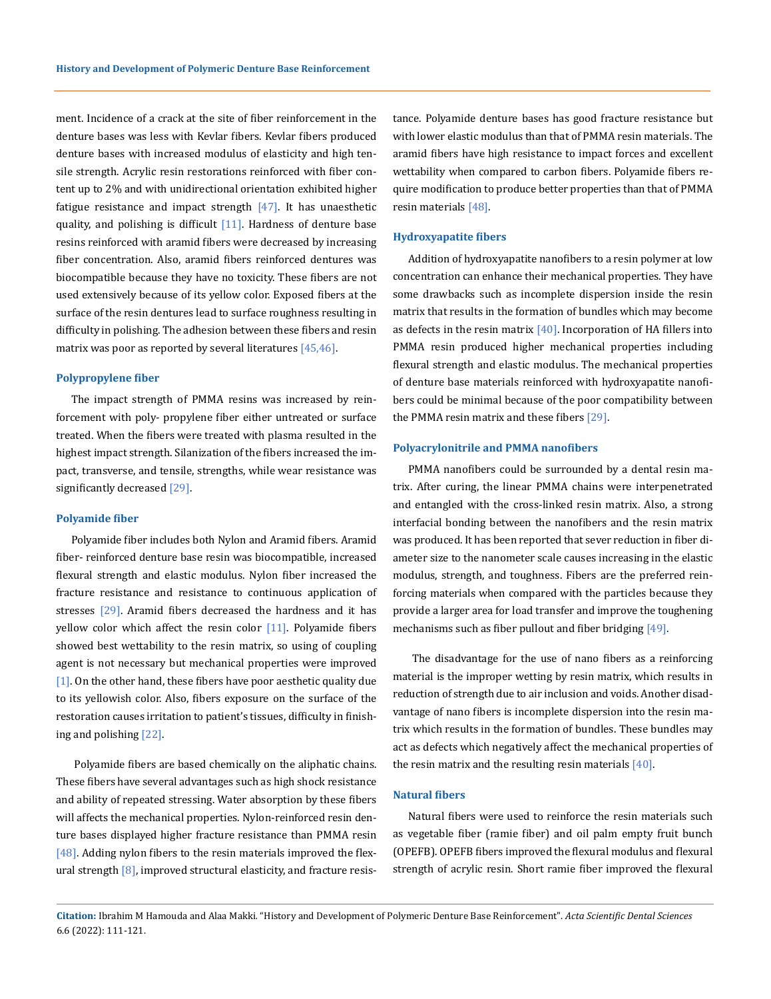ment. Incidence of a crack at the site of fiber reinforcement in the denture bases was less with Kevlar fibers. Kevlar fibers produced denture bases with increased modulus of elasticity and high tensile strength. Acrylic resin restorations reinforced with fiber content up to 2% and with unidirectional orientation exhibited higher fatigue resistance and impact strength  $[47]$ . It has unaesthetic quality, and polishing is difficult  $[11]$ . Hardness of denture base resins reinforced with aramid fibers were decreased by increasing fiber concentration. Also, aramid fibers reinforced dentures was biocompatible because they have no toxicity. These fibers are not used extensively because of its yellow color. Exposed fibers at the surface of the resin dentures lead to surface roughness resulting in difficulty in polishing. The adhesion between these fibers and resin matrix was poor as reported by several literatures [45,46].

#### **Polypropylene fiber**

The impact strength of PMMA resins was increased by reinforcement with poly- propylene fiber either untreated or surface treated. When the fibers were treated with plasma resulted in the highest impact strength. Silanization of the fibers increased the impact, transverse, and tensile, strengths, while wear resistance was significantly decreased [29].

#### **Polyamide fiber**

Polyamide fiber includes both Nylon and Aramid fibers. Aramid fiber- reinforced denture base resin was biocompatible, increased flexural strength and elastic modulus. Nylon fiber increased the fracture resistance and resistance to continuous application of stresses [29]. Aramid fibers decreased the hardness and it has yellow color which affect the resin color [11]. Polyamide fibers showed best wettability to the resin matrix, so using of coupling agent is not necessary but mechanical properties were improved [1]. On the other hand, these fibers have poor aesthetic quality due to its yellowish color. Also, fibers exposure on the surface of the restoration causes irritation to patient's tissues, difficulty in finishing and polishing [22].

 Polyamide fibers are based chemically on the aliphatic chains. These fibers have several advantages such as high shock resistance and ability of repeated stressing. Water absorption by these fibers will affects the mechanical properties. Nylon-reinforced resin denture bases displayed higher fracture resistance than PMMA resin  $[48]$ . Adding nylon fibers to the resin materials improved the flexural strength [8], improved structural elasticity, and fracture resistance. Polyamide denture bases has good fracture resistance but with lower elastic modulus than that of PMMA resin materials. The aramid fibers have high resistance to impact forces and excellent wettability when compared to carbon fibers. Polyamide fibers require modification to produce better properties than that of PMMA resin materials [48].

#### **Hydroxyapatite fibers**

Addition of hydroxyapatite nanofibers to a resin polymer at low concentration can enhance their mechanical properties. They have some drawbacks such as incomplete dispersion inside the resin matrix that results in the formation of bundles which may become as defects in the resin matrix  $[40]$ . Incorporation of HA fillers into PMMA resin produced higher mechanical properties including flexural strength and elastic modulus. The mechanical properties of denture base materials reinforced with hydroxyapatite nanofibers could be minimal because of the poor compatibility between the PMMA resin matrix and these fibers [29].

#### **Polyacrylonitrile and PMMA nanofibers**

PMMA nanofibers could be surrounded by a dental resin matrix. After curing, the linear PMMA chains were interpenetrated and entangled with the cross-linked resin matrix. Also, a strong interfacial bonding between the nanofibers and the resin matrix was produced. It has been reported that sever reduction in fiber diameter size to the nanometer scale causes increasing in the elastic modulus, strength, and toughness. Fibers are the preferred reinforcing materials when compared with the particles because they provide a larger area for load transfer and improve the toughening mechanisms such as fiber pullout and fiber bridging [49].

 The disadvantage for the use of nano fibers as a reinforcing material is the improper wetting by resin matrix, which results in reduction of strength due to air inclusion and voids. Another disadvantage of nano fibers is incomplete dispersion into the resin matrix which results in the formation of bundles. These bundles may act as defects which negatively affect the mechanical properties of the resin matrix and the resulting resin materials [40].

## **Natural fibers**

Natural fibers were used to reinforce the resin materials such as vegetable fiber (ramie fiber) and oil palm empty fruit bunch (OPEFB). OPEFB fibers improved the flexural modulus and flexural strength of acrylic resin. Short ramie fiber improved the flexural

**Citation:** Ibrahim M Hamouda and Alaa Makki*.* "History and Development of Polymeric Denture Base Reinforcement". *Acta Scientific Dental Sciences*  6.6 (2022): 111-121.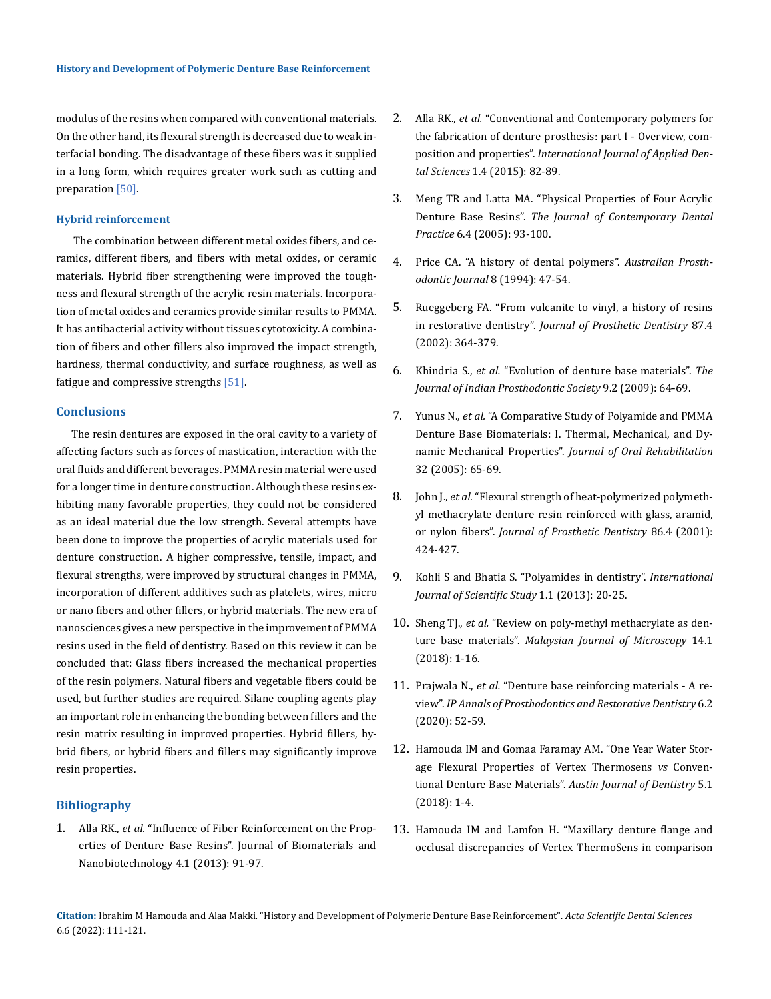modulus of the resins when compared with conventional materials. On the other hand, its flexural strength is decreased due to weak interfacial bonding. The disadvantage of these fibers was it supplied in a long form, which requires greater work such as cutting and preparation [50].

#### **Hybrid reinforcement**

 The combination between different metal oxides fibers, and ceramics, different fibers, and fibers with metal oxides, or ceramic materials. Hybrid fiber strengthening were improved the toughness and flexural strength of the acrylic resin materials. Incorporation of metal oxides and ceramics provide similar results to PMMA. It has antibacterial activity without tissues cytotoxicity. A combination of fibers and other fillers also improved the impact strength, hardness, thermal conductivity, and surface roughness, as well as fatigue and compressive strengths [51].

## **Conclusions**

The resin dentures are exposed in the oral cavity to a variety of affecting factors such as forces of mastication, interaction with the oral fluids and different beverages. PMMA resin material were used for a longer time in denture construction. Although these resins exhibiting many favorable properties, they could not be considered as an ideal material due the low strength. Several attempts have been done to improve the properties of acrylic materials used for denture construction. A higher compressive, tensile, impact, and flexural strengths, were improved by structural changes in PMMA, incorporation of different additives such as platelets, wires, micro or nano fibers and other fillers, or hybrid materials. The new era of nanosciences gives a new perspective in the improvement of PMMA resins used in the field of dentistry. Based on this review it can be concluded that: Glass fibers increased the mechanical properties of the resin polymers. Natural fibers and vegetable fibers could be used, but further studies are required. Silane coupling agents play an important role in enhancing the bonding between fillers and the resin matrix resulting in improved properties. Hybrid fillers, hybrid fibers, or hybrid fibers and fillers may significantly improve resin properties.

## **Bibliography**

1. Alla RK., *et al.* ["Influence of Fiber Reinforcement on the Prop](https://www.researchgate.net/publication/235351596_Influence_of_Fiber_Reinforcement_on_the_Properties_of_Denture_Base_Resins)[erties of Denture Base Resins".](https://www.researchgate.net/publication/235351596_Influence_of_Fiber_Reinforcement_on_the_Properties_of_Denture_Base_Resins) Journal of Biomaterials and [Nanobiotechnology 4.1 \(2013\): 91-97.](https://www.researchgate.net/publication/235351596_Influence_of_Fiber_Reinforcement_on_the_Properties_of_Denture_Base_Resins)

- 2. Alla RK., *et al.* ["Conventional and Contemporary polymers for](https://www.researchgate.net/publication/281998639_Conventional_and_Contemporary_polymers_for_the_fabrication_of_denture_prosthesis_part_I_-_Overview_composition_and_properties) [the fabrication of denture prosthesis: part I - Overview, com](https://www.researchgate.net/publication/281998639_Conventional_and_Contemporary_polymers_for_the_fabrication_of_denture_prosthesis_part_I_-_Overview_composition_and_properties)position and properties". *[International Journal of Applied Den](https://www.researchgate.net/publication/281998639_Conventional_and_Contemporary_polymers_for_the_fabrication_of_denture_prosthesis_part_I_-_Overview_composition_and_properties)tal Sciences* [1.4 \(2015\): 82-89.](https://www.researchgate.net/publication/281998639_Conventional_and_Contemporary_polymers_for_the_fabrication_of_denture_prosthesis_part_I_-_Overview_composition_and_properties)
- 3. [Meng TR and Latta MA. "Physical Properties of Four Acrylic](https://pubmed.ncbi.nlm.nih.gov/16299611/) Denture Base Resins". *[The Journal of Contemporary Dental](https://pubmed.ncbi.nlm.nih.gov/16299611/) Practice* [6.4 \(2005\): 93-100.](https://pubmed.ncbi.nlm.nih.gov/16299611/)
- 4. [Price CA. "A history of dental polymers".](https://pubmed.ncbi.nlm.nih.gov/8611309/) *Australian Prosth[odontic Journal](https://pubmed.ncbi.nlm.nih.gov/8611309/)* 8 (1994): 47-54.
- 5. [Rueggeberg FA. "From vulcanite to vinyl, a history of resins](https://pubmed.ncbi.nlm.nih.gov/12011846/) in restorative dentistry". *[Journal of Prosthetic Dentistry](https://pubmed.ncbi.nlm.nih.gov/12011846/)* 87.4 [\(2002\): 364-379.](https://pubmed.ncbi.nlm.nih.gov/12011846/)
- 6. Khindria S., *et al.* ["Evolution of denture base materials".](https://www.j-ips.org/article.asp?issn=0972-4052;year=2009;volume=9;issue=2;spage=64;epage=69;aulast=Khindria) *The [Journal of Indian Prosthodontic Society](https://www.j-ips.org/article.asp?issn=0972-4052;year=2009;volume=9;issue=2;spage=64;epage=69;aulast=Khindria)* 9.2 (2009): 64-69.
- 7. Yunus N., *et al.* ["A Comparative Study of Polyamide and PMMA](https://www.tandfonline.com/doi/abs/10.1080/00914037.2011.610047) [Denture Base Biomaterials: I. Thermal, Mechanical, and Dy](https://www.tandfonline.com/doi/abs/10.1080/00914037.2011.610047)namic Mechanical Properties". *[Journal of Oral Rehabilitation](https://www.tandfonline.com/doi/abs/10.1080/00914037.2011.610047)* [32 \(2005\): 65-69.](https://www.tandfonline.com/doi/abs/10.1080/00914037.2011.610047)
- 8. John J., *et al.* ["Flexural strength of heat-polymerized polymeth](https://www.sciencedirect.com/science/article/abs/pii/S0022391301431258)[yl methacrylate denture resin reinforced with glass, aramid,](https://www.sciencedirect.com/science/article/abs/pii/S0022391301431258) or nylon fibers". *[Journal of Prosthetic Dentistry](https://www.sciencedirect.com/science/article/abs/pii/S0022391301431258)* 86.4 (2001): [424-427.](https://www.sciencedirect.com/science/article/abs/pii/S0022391301431258)
- 9. [Kohli S and Bhatia S. "Polyamides in dentistry".](http://asnanportal.com/images/PDF_file/Polyamides%20in%20Dentistry.pdf) *International [Journal of Scientific Study](http://asnanportal.com/images/PDF_file/Polyamides%20in%20Dentistry.pdf)* 1.1 (2013): 20-25.
- 10. Sheng TJ., *et al.* ["Review on poly-methyl methacrylate as den](https://www.researchgate.net/publication/332867942_Review_on_poly-methyl_methacrylate_as_denture_base_materials)ture base materials". *[Malaysian Journal of Microscopy](https://www.researchgate.net/publication/332867942_Review_on_poly-methyl_methacrylate_as_denture_base_materials)* 14.1 [\(2018\): 1-16.](https://www.researchgate.net/publication/332867942_Review_on_poly-methyl_methacrylate_as_denture_base_materials)
- 11. Prajwala N., *et al.* ["Denture base reinforcing materials A re](https://www.researchgate.net/publication/342180943_Denture_base_reinforcing_materials_-_A_review)view". *[IP Annals of Prosthodontics and](https://www.researchgate.net/publication/342180943_Denture_base_reinforcing_materials_-_A_review) Restorative Dentistry* 6.2 [\(2020\): 52-59.](https://www.researchgate.net/publication/342180943_Denture_base_reinforcing_materials_-_A_review)
- 12. [Hamouda IM and Gomaa Faramay AM. "One Year Water Stor](https://austinpublishinggroup.com/dentistry/fulltext/jd-v5-id1095.php)[age Flexural Properties of Vertex Thermosens](https://austinpublishinggroup.com/dentistry/fulltext/jd-v5-id1095.php) *vs* Conventional Denture Base Materials". *[Austin Journal of Dentistry](https://austinpublishinggroup.com/dentistry/fulltext/jd-v5-id1095.php)* 5.1 [\(2018\): 1-4.](https://austinpublishinggroup.com/dentistry/fulltext/jd-v5-id1095.php)
- 13. [Hamouda IM and Lamfon H. "Maxillary denture flange and](https://pubmed.ncbi.nlm.nih.gov/30418169/)  [occlusal discrepancies of Vertex ThermoSens in comparison](https://pubmed.ncbi.nlm.nih.gov/30418169/)

**Citation:** Ibrahim M Hamouda and Alaa Makki*.* "History and Development of Polymeric Denture Base Reinforcement". *Acta Scientific Dental Sciences*  6.6 (2022): 111-121.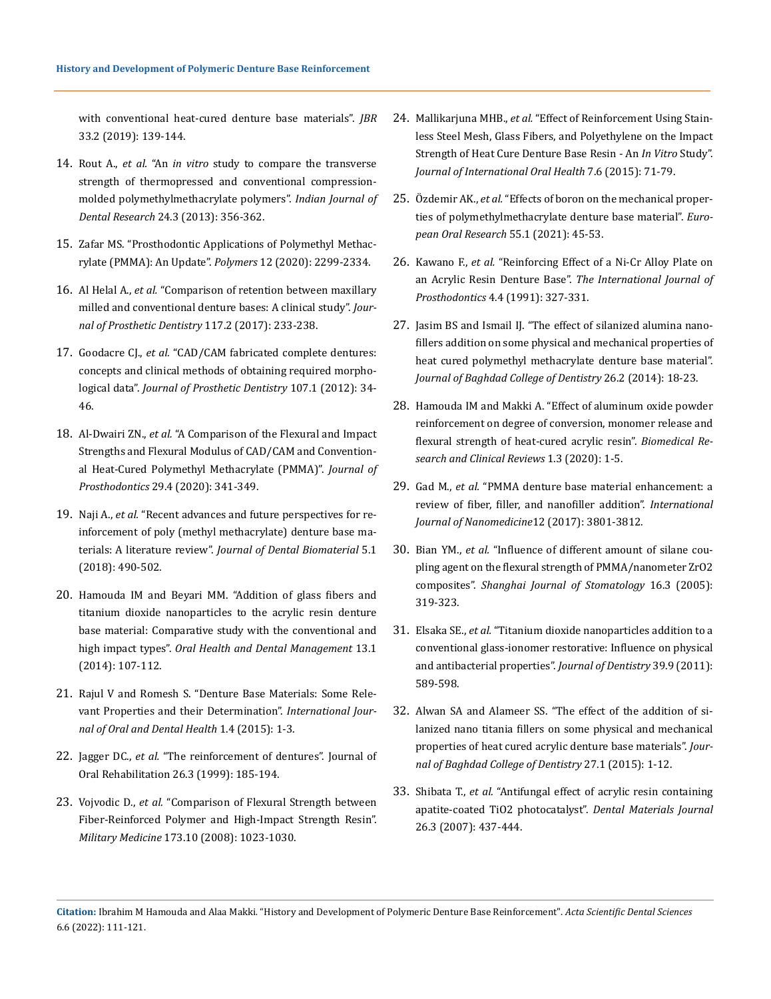[with conventional heat-cured denture base materials".](https://pubmed.ncbi.nlm.nih.gov/30418169/) *JBR* [33.2 \(2019\): 139-144.](https://pubmed.ncbi.nlm.nih.gov/30418169/)

- 14. Rout A., *et al.* "An *in vitro* [study to compare the transverse](https://pubmed.ncbi.nlm.nih.gov/24025885/) [strength of thermopressed and conventional compression](https://pubmed.ncbi.nlm.nih.gov/24025885/)[molded polymethylmethacrylate polymers".](https://pubmed.ncbi.nlm.nih.gov/24025885/) *Indian Journal of Dental Research* [24.3 \(2013\): 356-362.](https://pubmed.ncbi.nlm.nih.gov/24025885/)
- 15. [Zafar MS. "Prosthodontic Applications of Polymethyl Methac](https://pubmed.ncbi.nlm.nih.gov/33049984/)[rylate \(PMMA\): An Update".](https://pubmed.ncbi.nlm.nih.gov/33049984/) *Polymers* 12 (2020): 2299-2334.
- 16. Al Helal A., *et al.* ["Comparison of retention between maxillary](https://pubmed.ncbi.nlm.nih.gov/27765399/) [milled and conventional denture bases: A clinical study".](https://pubmed.ncbi.nlm.nih.gov/27765399/) *Jour[nal of Prosthetic Dentistry](https://pubmed.ncbi.nlm.nih.gov/27765399/)* 117.2 (2017): 233-238.
- 17. Goodacre CJ., *et al.* ["CAD/CAM fabricated complete dentures:](https://pubmed.ncbi.nlm.nih.gov/22230914/) [concepts and clinical methods of obtaining required morpho](https://pubmed.ncbi.nlm.nih.gov/22230914/)logical data". *[Journal of Prosthetic Dentistry](https://pubmed.ncbi.nlm.nih.gov/22230914/)* 107.1 (2012): 34- [46.](https://pubmed.ncbi.nlm.nih.gov/22230914/)
- 18. Al-Dwairi ZN., *et al.* ["A Comparison of the Flexural and Impact](https://pubmed.ncbi.nlm.nih.gov/29896904/) [Strengths and Flexural Modulus of CAD/CAM and Convention](https://pubmed.ncbi.nlm.nih.gov/29896904/)[al Heat-Cured Polymethyl Methacrylate \(PMMA\)".](https://pubmed.ncbi.nlm.nih.gov/29896904/) *Journal of Prosthodontics* [29.4 \(2020\): 341-349.](https://pubmed.ncbi.nlm.nih.gov/29896904/)
- 19. Naji A., *et al.* ["Recent advances and future perspectives for re](https://www.researchgate.net/publication/323689264_Recent_Advances_and_Future_Perspectives_for_Reinforcement_of_Polymethyl_methacrylate_Denture_Base_Materials_A_Literature_Review)[inforcement of poly \(methyl methacrylate\) denture base ma](https://www.researchgate.net/publication/323689264_Recent_Advances_and_Future_Perspectives_for_Reinforcement_of_Polymethyl_methacrylate_Denture_Base_Materials_A_Literature_Review)terials: A literature review". *[Journal of Dental Biomaterial](https://www.researchgate.net/publication/323689264_Recent_Advances_and_Future_Perspectives_for_Reinforcement_of_Polymethyl_methacrylate_Denture_Base_Materials_A_Literature_Review)* 5.1 [\(2018\): 490-502.](https://www.researchgate.net/publication/323689264_Recent_Advances_and_Future_Perspectives_for_Reinforcement_of_Polymethyl_methacrylate_Denture_Base_Materials_A_Literature_Review)
- 20. [Hamouda IM and Beyari MM. "Addition of glass fibers and](https://pubmed.ncbi.nlm.nih.gov/24603926/)  [titanium dioxide nanoparticles to the acrylic resin denture](https://pubmed.ncbi.nlm.nih.gov/24603926/) [base material: Comparative study with the conventional and](https://pubmed.ncbi.nlm.nih.gov/24603926/) high impact types". *[Oral Health and Dental Management](https://pubmed.ncbi.nlm.nih.gov/24603926/)* 13.1 [\(2014\): 107-112.](https://pubmed.ncbi.nlm.nih.gov/24603926/)
- 21. [Rajul V and Romesh S. "Denture Base Materials: Some Rele](https://www.sciforschenonline.org/journals/dentistry/IJDOH-1-126.php)[vant Properties and their Determination".](https://www.sciforschenonline.org/journals/dentistry/IJDOH-1-126.php) *International Jour[nal of Oral and Dental Health](https://www.sciforschenonline.org/journals/dentistry/IJDOH-1-126.php)* 1.4 (2015): 1-3.
- 22. Jagger DC., *et al.* ["The reinforcement of dentures". Journal of](https://pubmed.ncbi.nlm.nih.gov/10194725/) [Oral Rehabilitation 26.3 \(1999\): 185-194.](https://pubmed.ncbi.nlm.nih.gov/10194725/)
- 23. Vojvodic D., *et al.* ["Comparison of Flexural Strength between](https://pubmed.ncbi.nlm.nih.gov/19160624/) [Fiber-Reinforced Polymer and High-Impact Strength Resin".](https://pubmed.ncbi.nlm.nih.gov/19160624/) *Military Medicine* [173.10 \(2008\): 1023-1030.](https://pubmed.ncbi.nlm.nih.gov/19160624/)
- 24. [Mallikarjuna MHB.,](https://pubmed.ncbi.nlm.nih.gov/26124604/) *et al.* "Effect of Reinforcement Using Stain[less Steel Mesh, Glass Fibers, and Polyethylene on the Impact](https://pubmed.ncbi.nlm.nih.gov/26124604/) [Strength of Heat Cure](https://pubmed.ncbi.nlm.nih.gov/26124604/) Denture Base Resin - An *In Vitro* Study". *[Journal of International Oral Health](https://pubmed.ncbi.nlm.nih.gov/26124604/)* 7.6 (2015): 71-79.
- 25. Özdemir AK., *et al.* ["Effects of boron on the mechanical proper](https://pubmed.ncbi.nlm.nih.gov/33937762/)[ties of polymethylmethacrylate denture base material".](https://pubmed.ncbi.nlm.nih.gov/33937762/) *Euro[pean Oral Research](https://pubmed.ncbi.nlm.nih.gov/33937762/)* 55.1 (2021): 45-53.
- 26. Kawano F., *et al.* ["Reinforcing Effect of a Ni-Cr Alloy Plate on](https://pubmed.ncbi.nlm.nih.gov/1811625/)  an Acrylic Resin Denture Base". *[The International Journal of](https://pubmed.ncbi.nlm.nih.gov/1811625/) Prosthodontics* [4.4 \(1991\): 327-331.](https://pubmed.ncbi.nlm.nih.gov/1811625/)
- 27. [Jasim BS and Ismail IJ. "The effect of silanized alumina nano](https://www.researchgate.net/publication/327884042_The_Effect_of_Silanized_Alumina_Nano-Fillers_Addition_on_Some_Physical_and_Mechanical_Properties_of_Heat_Cured_Polymethyl_Methacrylate_Denture_Base_Material)[fillers addition on some physical and mechanical properties of](https://www.researchgate.net/publication/327884042_The_Effect_of_Silanized_Alumina_Nano-Fillers_Addition_on_Some_Physical_and_Mechanical_Properties_of_Heat_Cured_Polymethyl_Methacrylate_Denture_Base_Material)  [heat cured polymethyl methacrylate denture base material".](https://www.researchgate.net/publication/327884042_The_Effect_of_Silanized_Alumina_Nano-Fillers_Addition_on_Some_Physical_and_Mechanical_Properties_of_Heat_Cured_Polymethyl_Methacrylate_Denture_Base_Material) *[Journal of Baghdad College of Dentistry](https://www.researchgate.net/publication/327884042_The_Effect_of_Silanized_Alumina_Nano-Fillers_Addition_on_Some_Physical_and_Mechanical_Properties_of_Heat_Cured_Polymethyl_Methacrylate_Denture_Base_Material)* 26.2 (2014): 18-23.
- 28. [Hamouda IM and Makki A. "Effect of aluminum oxide powder](https://www.researchgate.net/publication/257736617_Effects_of_aluminum_oxide_addition_on_the_flexural_strength_surface_hardness_and_roughness_of_heat-polymerized_acrylic_resin) [reinforcement on degree of conversion, monomer release and](https://www.researchgate.net/publication/257736617_Effects_of_aluminum_oxide_addition_on_the_flexural_strength_surface_hardness_and_roughness_of_heat-polymerized_acrylic_resin)  [flexural strength of heat-cured acrylic resin".](https://www.researchgate.net/publication/257736617_Effects_of_aluminum_oxide_addition_on_the_flexural_strength_surface_hardness_and_roughness_of_heat-polymerized_acrylic_resin) *Biomedical Re[search and Clinical Reviews](https://www.researchgate.net/publication/257736617_Effects_of_aluminum_oxide_addition_on_the_flexural_strength_surface_hardness_and_roughness_of_heat-polymerized_acrylic_resin)* 1.3 (2020): 1-5.
- 29. Gad M., *et al.* ["PMMA denture base material enhancement: a](https://www.ncbi.nlm.nih.gov/pmc/articles/PMC5440038/) [review of fiber, filler, and nanofiller addition".](https://www.ncbi.nlm.nih.gov/pmc/articles/PMC5440038/) *International [Journal of Nanomedicine](https://www.ncbi.nlm.nih.gov/pmc/articles/PMC5440038/)*12 (2017): 3801-3812.
- 30. Bian YM., *et al.* ["Influence of different amount of silane cou](https://pubmed.ncbi.nlm.nih.gov/17660924/)[pling agent on the flexural strength of PMMA/nanometer ZrO2](https://pubmed.ncbi.nlm.nih.gov/17660924/)  composites". *[Shanghai Journal of Stomatology](https://pubmed.ncbi.nlm.nih.gov/17660924/)* 16.3 (2005): [319-323.](https://pubmed.ncbi.nlm.nih.gov/17660924/)
- 31. Elsaka SE., *et al.* ["Titanium dioxide nanoparticles addition to a](https://pubmed.ncbi.nlm.nih.gov/21651955/)  [conventional glass-ionomer restorative: Influence on physical](https://pubmed.ncbi.nlm.nih.gov/21651955/)  [and antibacterial properties".](https://pubmed.ncbi.nlm.nih.gov/21651955/) *Journal of Dentistry* 39.9 (2011): [589-598.](https://pubmed.ncbi.nlm.nih.gov/21651955/)
- 32. [Alwan SA and Alameer SS. "The effect of the addition of si](https://jbcd.uobaghdad.edu.iq/index.php/jbcd/article/view/639)[lanized nano titania fillers on some physical and mechanical](https://jbcd.uobaghdad.edu.iq/index.php/jbcd/article/view/639)  [properties of heat cured acrylic denture base materials".](https://jbcd.uobaghdad.edu.iq/index.php/jbcd/article/view/639) *Jour[nal of Baghdad College of Dentistry](https://jbcd.uobaghdad.edu.iq/index.php/jbcd/article/view/639)* 27.1 (2015): 1-12.
- 33. Shibata T., *et al.* ["Antifungal effect of acrylic resin containing](https://pubmed.ncbi.nlm.nih.gov/17694755/) [apatite-coated TiO2 photocatalyst".](https://pubmed.ncbi.nlm.nih.gov/17694755/) *Dental Materials Journal* [26.3 \(2007\): 437-444.](https://pubmed.ncbi.nlm.nih.gov/17694755/)

**Citation:** Ibrahim M Hamouda and Alaa Makki*.* "History and Development of Polymeric Denture Base Reinforcement". *Acta Scientific Dental Sciences*  6.6 (2022): 111-121.